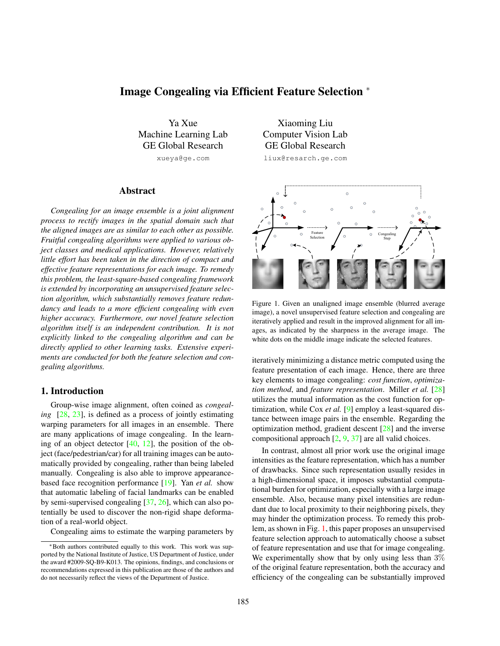# <span id="page-0-1"></span>Image Congealing via Efficient Feature Selection <sup>∗</sup>

Ya Xue Machine Learning Lab GE Global Research xueya@ge.com

# Abstract

*Congealing for an image ensemble is a joint alignment process to rectify images in the spatial domain such that the aligned images are as similar to each other as possible. Fruitful congealing algorithms were applied to various object classes and medical applications. However, relatively little effort has been taken in the direction of compact and effective feature representations for each image. To remedy this problem, the least-square-based congealing framework is extended by incorporating an unsupervised feature selection algorithm, which substantially removes feature redundancy and leads to a more efficient congealing with even higher accuracy. Furthermore, our novel feature selection algorithm itself is an independent contribution. It is not explicitly linked to the congealing algorithm and can be directly applied to other learning tasks. Extensive experiments are conducted for both the feature selection and congealing algorithms.*

#### 1. Introduction

Group-wise image alignment, often coined as *congealing* [\[28,](#page-7-0) [23\]](#page-7-1), is defined as a process of jointly estimating warping parameters for all images in an ensemble. There are many applications of image congealing. In the learning of an object detector  $[40, 12]$  $[40, 12]$  $[40, 12]$ , the position of the object (face/pedestrian/car) for all training images can be automatically provided by congealing, rather than being labeled manually. Congealing is also able to improve appearancebased face recognition performance [\[19\]](#page-7-4). Yan *et al.* show that automatic labeling of facial landmarks can be enabled by semi-supervised congealing [\[37,](#page-7-5) [26\]](#page-7-6), which can also potentially be used to discover the non-rigid shape deformation of a real-world object.

Congealing aims to estimate the warping parameters by

Xiaoming Liu Computer Vision Lab GE Global Research liux@resarch.ge.com



<span id="page-0-0"></span>Figure 1. Given an unaligned image ensemble (blurred average image), a novel unsupervised feature selection and congealing are iteratively applied and result in the improved alignment for all images, as indicated by the sharpness in the average image. The white dots on the middle image indicate the selected features.

iteratively minimizing a distance metric computed using the feature presentation of each image. Hence, there are three key elements to image congealing: *cost function*, *optimization method*, and *feature representation*. Miller *et al.* [\[28\]](#page-7-0) utilizes the mutual information as the cost function for optimization, while Cox *et al.* [\[9\]](#page-7-7) employ a least-squared distance between image pairs in the ensemble. Regarding the optimization method, gradient descent [\[28\]](#page-7-0) and the inverse compositional approach  $[2, 9, 37]$  $[2, 9, 37]$  $[2, 9, 37]$  $[2, 9, 37]$  $[2, 9, 37]$  are all valid choices.

In contrast, almost all prior work use the original image intensities as the feature representation, which has a number of drawbacks. Since such representation usually resides in a high-dimensional space, it imposes substantial computational burden for optimization, especially with a large image ensemble. Also, because many pixel intensities are redundant due to local proximity to their neighboring pixels, they may hinder the optimization process. To remedy this problem, as shown in Fig. [1,](#page-0-0) this paper proposes an unsupervised feature selection approach to automatically choose a subset of feature representation and use that for image congealing. We experimentally show that by only using less than  $3\%$ of the original feature representation, both the accuracy and efficiency of the congealing can be substantially improved

<sup>∗</sup>Both authors contributed equally to this work. This work was supported by the National Institute of Justice, US Department of Justice, under the award #2009-SQ-B9-K013. The opinions, findings, and conclusions or recommendations expressed in this publication are those of the authors and do not necessarily reflect the views of the Department of Justice.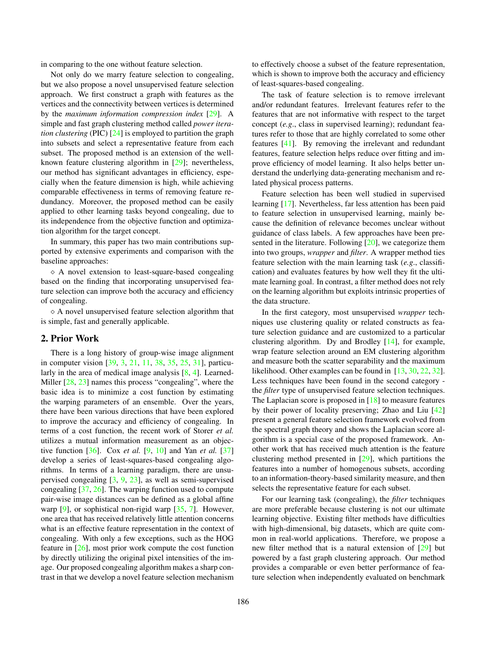<span id="page-1-0"></span>in comparing to the one without feature selection.

Not only do we marry feature selection to congealing, but we also propose a novel unsupervised feature selection approach. We first construct a graph with features as the vertices and the connectivity between vertices is determined by the *maximum information compression index* [\[29\]](#page-7-9). A simple and fast graph clustering method called *power iteration clustering* (PIC) [\[24\]](#page-7-10) is employed to partition the graph into subsets and select a representative feature from each subset. The proposed method is an extension of the wellknown feature clustering algorithm in [\[29\]](#page-7-9); nevertheless, our method has significant advantages in efficiency, especially when the feature dimension is high, while achieving comparable effectiveness in terms of removing feature redundancy. Moreover, the proposed method can be easily applied to other learning tasks beyond congealing, due to its independence from the objective function and optimization algorithm for the target concept.

In summary, this paper has two main contributions supported by extensive experiments and comparison with the baseline approaches:

 $\Diamond$  A novel extension to least-square-based congealing based on the finding that incorporating unsupervised feature selection can improve both the accuracy and efficiency of congealing.

 $\diamond$  A novel unsupervised feature selection algorithm that is simple, fast and generally applicable.

#### 2. Prior Work

There is a long history of group-wise image alignment in computer vision [\[39,](#page-7-11) [3,](#page-7-12) [21,](#page-7-13) [11,](#page-7-14) [38,](#page-7-15) [35,](#page-7-16) [25,](#page-7-17) [31\]](#page-7-18), particularly in the area of medical image analysis [\[8,](#page-7-19) [4\]](#page-7-20). Learned-Miller  $[28, 23]$  $[28, 23]$  $[28, 23]$  names this process "congealing", where the basic idea is to minimize a cost function by estimating the warping parameters of an ensemble. Over the years, there have been various directions that have been explored to improve the accuracy and efficiency of congealing. In terms of a cost function, the recent work of Storer *et al.* utilizes a mutual information measurement as an objective function [\[36\]](#page-7-21). Cox *et al.* [\[9,](#page-7-7) [10\]](#page-7-22) and Yan *et al.* [\[37\]](#page-7-5) develop a series of least-squares-based congealing algorithms. In terms of a learning paradigm, there are unsupervised congealing [\[3,](#page-7-12) [9,](#page-7-7) [23\]](#page-7-1), as well as semi-supervised congealing [\[37,](#page-7-5) [26\]](#page-7-6). The warping function used to compute pair-wise image distances can be defined as a global affine warp  $[9]$ , or sophistical non-rigid warp  $[35, 7]$  $[35, 7]$  $[35, 7]$ . However, one area that has received relatively little attention concerns what is an effective feature representation in the context of congealing. With only a few exceptions, such as the HOG feature in [\[26\]](#page-7-6), most prior work compute the cost function by directly utilizing the original pixel intensities of the image. Our proposed congealing algorithm makes a sharp contrast in that we develop a novel feature selection mechanism

to effectively choose a subset of the feature representation, which is shown to improve both the accuracy and efficiency of least-squares-based congealing.

The task of feature selection is to remove irrelevant and/or redundant features. Irrelevant features refer to the features that are not informative with respect to the target concept (*e.g*., class in supervised learning); redundant features refer to those that are highly correlated to some other features [\[41\]](#page-7-24). By removing the irrelevant and redundant features, feature selection helps reduce over fitting and improve efficiency of model learning. It also helps better understand the underlying data-generating mechanism and related physical process patterns.

Feature selection has been well studied in supervised learning [\[17\]](#page-7-25). Nevertheless, far less attention has been paid to feature selection in unsupervised learning, mainly because the definition of relevance becomes unclear without guidance of class labels. A few approaches have been presented in the literature. Following [\[20\]](#page-7-26), we categorize them into two groups, *wrapper* and *filter*. A wrapper method ties feature selection with the main learning task (*e.g*., classification) and evaluates features by how well they fit the ultimate learning goal. In contrast, a filter method does not rely on the learning algorithm but exploits intrinsic properties of the data structure.

In the first category, most unsupervised *wrapper* techniques use clustering quality or related constructs as feature selection guidance and are customized to a particular clustering algorithm. Dy and Brodley [\[14\]](#page-7-27), for example, wrap feature selection around an EM clustering algorithm and measure both the scatter separability and the maximum likelihood. Other examples can be found in [\[13,](#page-7-28) [30,](#page-7-29) [22,](#page-7-30) [32\]](#page-7-31). Less techniques have been found in the second category the *filter* type of unsupervised feature selection techniques. The Laplacian score is proposed in  $[18]$  to measure features by their power of locality preserving; Zhao and Liu [\[42\]](#page-7-33) present a general feature selection framework evolved from the spectral graph theory and shows the Laplacian score algorithm is a special case of the proposed framework. Another work that has received much attention is the feature clustering method presented in [\[29\]](#page-7-9), which partitions the features into a number of homogenous subsets, according to an information-theory-based similarity measure, and then selects the representative feature for each subset.

For our learning task (congealing), the *filter* techniques are more preferable because clustering is not our ultimate learning objective. Existing filter methods have difficulties with high-dimensional, big datasets, which are quite common in real-world applications. Therefore, we propose a new filter method that is a natural extension of [\[29\]](#page-7-9) but powered by a fast graph clustering approach. Our method provides a comparable or even better performance of feature selection when independently evaluated on benchmark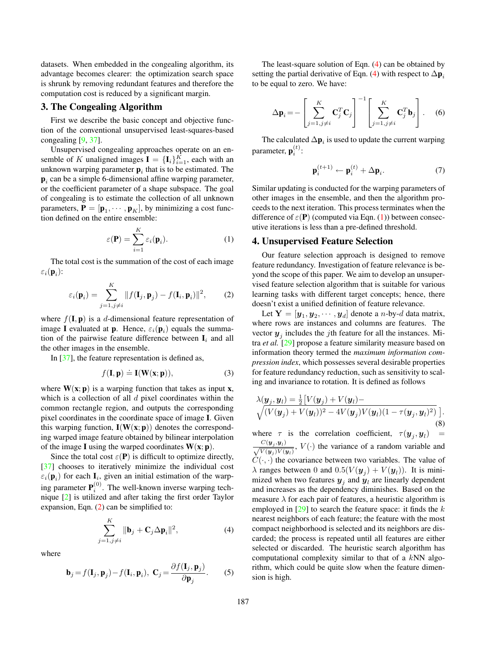<span id="page-2-6"></span>datasets. When embedded in the congealing algorithm, its advantage becomes clearer: the optimization search space is shrunk by removing redundant features and therefore the computation cost is reduced by a significant margin.

# <span id="page-2-4"></span>3. The Congealing Algorithm

First we describe the basic concept and objective function of the conventional unsupervised least-squares-based congealing [\[9,](#page-7-7) [37\]](#page-7-5).

Unsupervised congealing approaches operate on an ensemble of K unaligned images  $I = \{I_i\}_{i=1}^K$ , each with an unknown warping parameter  $\mathbf{p}_i$  that is to be estimated. The  $\mathbf{p}_i$  can be a simple 6-dimensional affine warping parameter, or the coefficient parameter of a shape subspace. The goal of congealing is to estimate the collection of all unknown parameters,  $P = [\mathbf{p}_1, \cdots, \mathbf{p}_K]$ , by minimizing a cost function defined on the entire ensemble:

<span id="page-2-2"></span>
$$
\varepsilon(\mathbf{P}) = \sum_{i=1}^{K} \varepsilon_i(\mathbf{p}_i).
$$
 (1)

The total cost is the summation of the cost of each image  $\varepsilon_i(\mathbf{p}_i)$ :

<span id="page-2-0"></span>
$$
\varepsilon_i(\mathbf{p}_i) = \sum_{j=1, j\neq i}^K ||f(\mathbf{I}_j, \mathbf{p}_j) - f(\mathbf{I}_i, \mathbf{p}_i)||^2, \qquad (2)
$$

where  $f(\mathbf{I}, \mathbf{p})$  is a d-dimensional feature representation of image I evaluated at **p**. Hence,  $\varepsilon_i(\mathbf{p}_i)$  equals the summation of the pairwise feature difference between  $I_i$  and all the other images in the ensemble.

In [\[37\]](#page-7-5), the feature representation is defined as,

<span id="page-2-5"></span>
$$
f(\mathbf{I}, \mathbf{p}) \doteq \mathbf{I}(\mathbf{W}(\mathbf{x}; \mathbf{p})), \tag{3}
$$

where  $W(x; p)$  is a warping function that takes as input x, which is a collection of all  $d$  pixel coordinates within the common rectangle region, and outputs the corresponding pixel coordinates in the coordinate space of image I. Given this warping function,  $I(W(x; p))$  denotes the corresponding warped image feature obtained by bilinear interpolation of the image I using the warped coordinates  $W(x; p)$ .

Since the total cost  $\varepsilon(P)$  is difficult to optimize directly, [\[37\]](#page-7-5) chooses to iteratively minimize the individual cost  $\varepsilon_i(\mathbf{p}_i)$  for each  $\mathbf{I}_i$ , given an initial estimation of the warping parameter  $P_i^{(0)}$ . The well-known inverse warping technique [\[2\]](#page-7-8) is utilized and after taking the first order Taylor expansion, Eqn. [\(2\)](#page-2-0) can be simplified to:

<span id="page-2-1"></span>
$$
\sum_{j=1,j\neq i}^{K} \|\mathbf{b}_j + \mathbf{C}_j \Delta \mathbf{p}_i\|^2, \tag{4}
$$

where

$$
\mathbf{b}_{j} = f(\mathbf{I}_{j}, \mathbf{p}_{j}) - f(\mathbf{I}_{i}, \mathbf{p}_{i}), \ \mathbf{C}_{j} = \frac{\partial f(\mathbf{I}_{j}, \mathbf{p}_{j})}{\partial \mathbf{p}_{j}}.
$$
 (5)

The least-square solution of Eqn. [\(4\)](#page-2-1) can be obtained by setting the partial derivative of Eqn. [\(4\)](#page-2-1) with respect to  $\Delta \mathbf{p}_i$ to be equal to zero. We have:

$$
\Delta \mathbf{p}_i = -\left[\sum_{j=1,j\neq i}^K \mathbf{C}_j^T \mathbf{C}_j\right]^{-1} \left[\sum_{j=1,j\neq i}^K \mathbf{C}_j^T \mathbf{b}_j\right].
$$
 (6)

The calculated  $\Delta \mathbf{p}_i$  is used to update the current warping parameter,  $\mathbf{p}_i^{(t)}$ :

$$
\mathbf{p}_i^{(t+1)} \leftarrow \mathbf{p}_i^{(t)} + \Delta \mathbf{p}_i. \tag{7}
$$

Similar updating is conducted for the warping parameters of other images in the ensemble, and then the algorithm proceeds to the next iteration. This process terminates when the difference of  $\varepsilon(P)$  (computed via Eqn. [\(1\)](#page-2-2)) between consecutive iterations is less than a pre-defined threshold.

## 4. Unsupervised Feature Selection

Our feature selection approach is designed to remove feature redundancy. Investigation of feature relevance is beyond the scope of this paper. We aim to develop an unsupervised feature selection algorithm that is suitable for various learning tasks with different target concepts; hence, there doesn't exist a unified definition of feature relevance.

Let  $\mathbf{Y} = [\boldsymbol{y}_1, \boldsymbol{y}_2, \cdots, \boldsymbol{y}_d]$  denote a *n*-by-*d* data matrix, where rows are instances and columns are features. The vector  $y_j$  includes the *j*th feature for all the instances. Mitra *et al.* [\[29\]](#page-7-9) propose a feature similarity measure based on information theory termed the *maximum information compression index*, which possesses several desirable properties for feature redundancy reduction, such as sensitivity to scaling and invariance to rotation. It is defined as follows

<span id="page-2-3"></span>
$$
\lambda(\boldsymbol{y}_j, \boldsymbol{y}_l) = \frac{1}{2} \big[ V(\boldsymbol{y}_j) + V(\boldsymbol{y}_l) - V(\boldsymbol{y}_l) \big] \times \big[ V(\boldsymbol{y}_j) + V(\boldsymbol{y}_l) \big]^2 - 4 V(\boldsymbol{y}_j) V(\boldsymbol{y}_l) (1 - \tau(\boldsymbol{y}_j, \boldsymbol{y}_l)^2) \big].
$$
\n(8)

where  $\tau$  is the correlation coefficient,  $\tau(\mathbf{y}_j, \mathbf{y}_l)$  =  $\frac{C(\mathbf{y}_j, \mathbf{y}_l)}{\sqrt{V(\mathbf{y}_j)V(\mathbf{y}_l)}}$ ,  $V(\cdot)$  the variance of a random variable and  $C(\cdot, \cdot)$  the covariance between two variables. The value of  $\lambda$  ranges between 0 and  $0.5(V(y_j) + V(y_l))$ . It is minimized when two features  $y_j$  and  $y_l$  are linearly dependent and increases as the dependency diminishes. Based on the measure  $\lambda$  for each pair of features, a heuristic algorithm is employed in  $[29]$  to search the feature space: it finds the k nearest neighbors of each feature; the feature with the most compact neighborhood is selected and its neighbors are discarded; the process is repeated until all features are either selected or discarded. The heuristic search algorithm has computational complexity similar to that of a  $kNN$  algorithm, which could be quite slow when the feature dimension is high.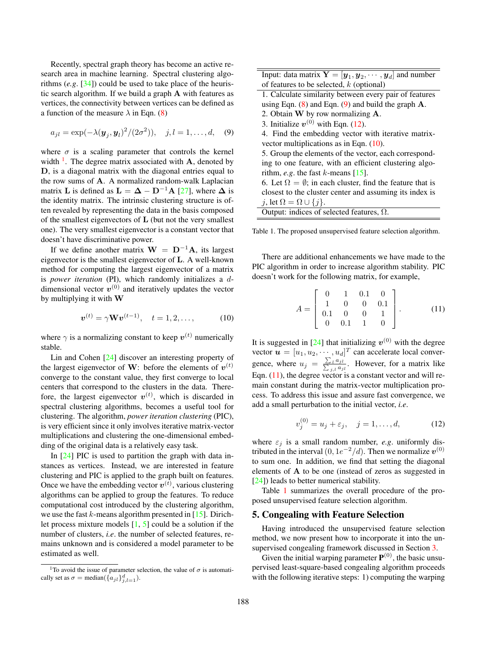<span id="page-3-6"></span>Recently, spectral graph theory has become an active research area in machine learning. Spectral clustering algorithms (*e.g*. [\[34\]](#page-7-34)) could be used to take place of the heuristic search algorithm. If we build a graph A with features as vertices, the connectivity between vertices can be defined as a function of the measure  $\lambda$  in Eqn. [\(8\)](#page-2-3)

<span id="page-3-1"></span>
$$
a_{jl} = \exp(-\lambda(\bm{y}_j, \bm{y}_l)^2/(2\sigma^2)), \quad j, l = 1, ..., d,
$$
 (9)

where  $\sigma$  is a scaling parameter that controls the kernel width  $\frac{1}{2}$  $\frac{1}{2}$  $\frac{1}{2}$ . The degree matrix associated with A, denoted by D, is a diagonal matrix with the diagonal entries equal to the row sums of A. A normalized random-walk Laplacian matrix **L** is defined as  $\mathbf{L} = \mathbf{\Delta} - \mathbf{D}^{-1} \mathbf{A}$  [\[27\]](#page-7-35), where  $\mathbf{\Delta}$  is the identity matrix. The intrinsic clustering structure is often revealed by representing the data in the basis composed of the smallest eigenvectors of L (but not the very smallest one). The very smallest eigenvector is a constant vector that doesn't have discriminative power.

If we define another matrix  $W = D^{-1}A$ , its largest eigenvector is the smallest eigenvector of L. A well-known method for computing the largest eigenvector of a matrix is *power iteration* (PI), which randomly initializes a ddimensional vector  $v^{(0)}$  and iteratively updates the vector by multiplying it with W

<span id="page-3-3"></span>
$$
\bm{v}^{(t)} = \gamma \mathbf{W} \bm{v}^{(t-1)}, \quad t = 1, 2, \dots,
$$
 (10)

where  $\gamma$  is a normalizing constant to keep  $v^{(t)}$  numerically stable.

Lin and Cohen [\[24\]](#page-7-10) discover an interesting property of the largest eigenvector of W: before the elements of  $v^{(t)}$ converge to the constant value, they first converge to local centers that correspond to the clusters in the data. Therefore, the largest eigenvector  $v^{(t)}$ , which is discarded in spectral clustering algorithms, becomes a useful tool for clustering. The algorithm, *power iteration clustering* (PIC), is very efficient since it only involves iterative matrix-vector multiplications and clustering the one-dimensional embedding of the original data is a relatively easy task.

In  $[24]$  PIC is used to partition the graph with data instances as vertices. Instead, we are interested in feature clustering and PIC is applied to the graph built on features. Once we have the embedding vector  $v^{(t)}$ , various clustering algorithms can be applied to group the features. To reduce computational cost introduced by the clustering algorithm, we use the fast  $k$ -means algorithm presented in [\[15\]](#page-7-36). Dirichlet process mixture models  $[1, 5]$  $[1, 5]$  $[1, 5]$  could be a solution if the number of clusters, *i.e*. the number of selected features, remains unknown and is considered a model parameter to be estimated as well.

| Input: data matrix $\mathbf{Y} = [\mathbf{y}_1, \mathbf{y}_2, \cdots, \mathbf{y}_d]$ and number |
|-------------------------------------------------------------------------------------------------|
| of features to be selected, $k$ (optional)                                                      |

| 1. Calculate similarity between every pair of features                  |
|-------------------------------------------------------------------------|
| using Eqn. $(8)$ and Eqn. $(9)$ and build the graph A.                  |
| 2. Obtain $W$ by row normalizing $A$ .                                  |
| 3. Initialize $v^{(0)}$ with Eqn. (12).                                 |
| 4. Find the embedding vector with iterative matrix-                     |
| vector multiplications as in Eqn. $(10)$ .                              |
| 5. Group the elements of the vector, each correspond-                   |
| ing to one feature, with an efficient clustering algo-                  |
| rithm, <i>e.g.</i> the fast <i>k</i> -means [15].                       |
| 6. Let $\Omega = \emptyset$ ; in each cluster, find the feature that is |
| closest to the cluster center and assuming its index is                 |
| j, let $\Omega = \Omega \cup \{j\}.$                                    |
| Output: indices of selected features, $\Omega$ .                        |

<span id="page-3-5"></span>Table 1. The proposed unsupervised feature selection algorithm.

There are additional enhancements we have made to the PIC algorithm in order to increase algorithm stability. PIC doesn't work for the following matrix, for example,

<span id="page-3-4"></span>
$$
A = \begin{bmatrix} 0 & 1 & 0.1 & 0 \\ 1 & 0 & 0 & 0.1 \\ 0.1 & 0 & 0 & 1 \\ 0 & 0.1 & 1 & 0 \end{bmatrix}.
$$
 (11)

It is suggested in [\[24\]](#page-7-10) that initializing  $v^{(0)}$  with the degree vector  $\boldsymbol{u} = [u_1, u_2, \cdots, u_d]^T$  can accelerate local convergence, where  $u_j = \frac{\sum_l a_{jl}}{\sum_{j,l} a_{jl}}$ . However, for a matrix like Eqn. [\(11\)](#page-3-4), the degree vector is a constant vector and will remain constant during the matrix-vector multiplication process. To address this issue and assure fast convergence, we add a small perturbation to the initial vector, *i.e*.

<span id="page-3-2"></span>
$$
v_j^{(0)} = u_j + \varepsilon_j, \quad j = 1, ..., d,
$$
 (12)

where  $\varepsilon_j$  is a small random number, *e.g.* uniformly distributed in the interval  $(0, 1e^{-2}/d)$ . Then we normalize  $v^{(0)}$ to sum one. In addition, we find that setting the diagonal elements of A to be one (instead of zeros as suggested in [\[24\]](#page-7-10)) leads to better numerical stability.

Table [1](#page-3-5) summarizes the overall procedure of the proposed unsupervised feature selection algorithm.

### 5. Congealing with Feature Selection

Having introduced the unsupervised feature selection method, we now present how to incorporate it into the unsupervised congealing framework discussed in Section [3.](#page-2-4)

Given the initial warping parameter  $P^{(0)}$ , the basic unsupervised least-square-based congealing algorithm proceeds with the following iterative steps: 1) computing the warping

<span id="page-3-0"></span><sup>&</sup>lt;sup>1</sup>To avoid the issue of parameter selection, the value of  $\sigma$  is automatically set as  $\sigma = \text{median}(\{a_{jl}\}_{j,l=1}^d)$ .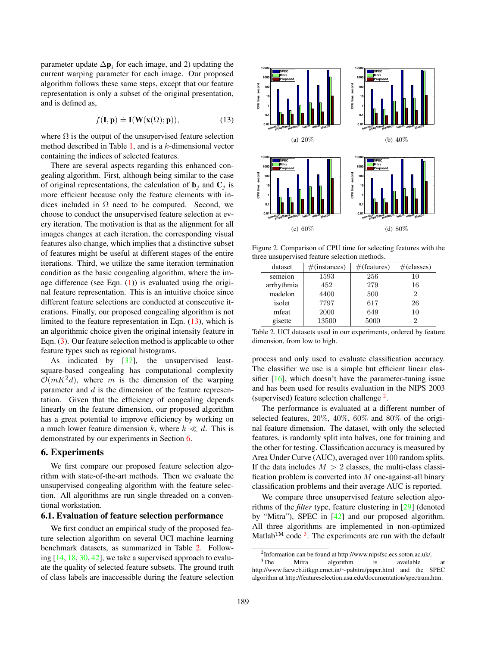<span id="page-4-6"></span>parameter update  $\Delta p_i$  for each image, and 2) updating the current warping parameter for each image. Our proposed algorithm follows these same steps, except that our feature representation is only a subset of the original presentation, and is defined as,

<span id="page-4-0"></span>
$$
f(\mathbf{I}, \mathbf{p}) \doteq \mathbf{I}(\mathbf{W}(\mathbf{x}(\Omega); \mathbf{p})), \tag{13}
$$

where  $\Omega$  is the output of the unsupervised feature selection method described in Table [1,](#page-3-5) and is a k-dimensional vector containing the indices of selected features.

There are several aspects regarding this enhanced congealing algorithm. First, although being similar to the case of original representations, the calculation of  $\mathbf{b}_i$  and  $\mathbf{C}_i$  is more efficient because only the feature elements with indices included in  $\Omega$  need to be computed. Second, we choose to conduct the unsupervised feature selection at every iteration. The motivation is that as the alignment for all images changes at each iteration, the corresponding visual features also change, which implies that a distinctive subset of features might be useful at different stages of the entire iterations. Third, we utilize the same iteration termination condition as the basic congealing algorithm, where the image difference (see Eqn.  $(1)$ ) is evaluated using the original feature representation. This is an intuitive choice since different feature selections are conducted at consecutive iterations. Finally, our proposed congealing algorithm is not limited to the feature representation in Eqn. [\(13\)](#page-4-0), which is an algorithmic choice given the original intensity feature in Eqn. [\(3\)](#page-2-5). Our feature selection method is applicable to other feature types such as regional histograms.

As indicated by [\[37\]](#page-7-5), the unsupervised leastsquare-based congealing has computational complexity  $\mathcal{O}(mK^2d)$ , where m is the dimension of the warping parameter and  $d$  is the dimension of the feature representation. Given that the efficiency of congealing depends linearly on the feature dimension, our proposed algorithm has a great potential to improve efficiency by working on a much lower feature dimension k, where  $k \ll d$ . This is demonstrated by our experiments in Section [6.](#page-4-1)

# <span id="page-4-1"></span>6. Experiments

We first compare our proposed feature selection algorithm with state-of-the-art methods. Then we evaluate the unsupervised congealing algorithm with the feature selection. All algorithms are run single threaded on a conventional workstation.

#### 6.1. Evaluation of feature selection performance

We first conduct an empirical study of the proposed feature selection algorithm on several UCI machine learning benchmark datasets, as summarized in Table [2.](#page-4-2) Following [\[14,](#page-7-27) [18,](#page-7-32) [30,](#page-7-29) [42\]](#page-7-33), we take a supervised approach to evaluate the quality of selected feature subsets. The ground truth of class labels are inaccessible during the feature selection



<span id="page-4-5"></span>Figure 2. Comparison of CPU time for selecting features with the three unsupervised feature selection methods.

| dataset    | $\#(instances)$ | #(features) | $\#$ (classes) |  |
|------------|-----------------|-------------|----------------|--|
| semeion    | 1593            | 256         | 10             |  |
| arrhythmia | 452             | 279         | 16             |  |
| madelon    | 4400            | 500         | 2              |  |
| isolet     | 7797            | 617         | 26             |  |
| mfeat      | 2000            | 649         | 10             |  |
| gisette    | 13500           | 5000        | 2              |  |

<span id="page-4-2"></span>Table 2. UCI datasets used in our experiments, ordered by feature dimension, from low to high.

process and only used to evaluate classification accuracy. The classifier we use is a simple but efficient linear classifier  $[16]$ , which doesn't have the parameter-tuning issue and has been used for results evaluation in the NIPS 2003 (supervised) feature selection challenge<sup>[2](#page-4-3)</sup>.

The performance is evaluated at a different number of selected features, 20%, 40%, 60% and 80% of the original feature dimension. The dataset, with only the selected features, is randomly split into halves, one for training and the other for testing. Classification accuracy is measured by Area Under Curve (AUC), averaged over 100 random splits. If the data includes  $M > 2$  classes, the multi-class classification problem is converted into  $M$  one-against-all binary classification problems and their average AUC is reported.

We compare three unsupervised feature selection algorithms of the *filter* type, feature clustering in [\[29\]](#page-7-9) (denoted by "Mitra"), SPEC in [\[42\]](#page-7-33) and our proposed algorithm. All three algorithms are implemented in non-optimized Matlab<sup>TM</sup> code<sup>[3](#page-4-4)</sup>. The experiments are run with the default

<span id="page-4-4"></span><span id="page-4-3"></span><sup>2</sup> Information can be found at http://www.nipsfsc.ecs.soton.ac.uk/.

<sup>&</sup>lt;sup>3</sup>The Mitra algorithm is available at  $\frac{3}{T}$  and  $\frac{3}{T}$  and the SPEC http://www.facweb.iitkgp.ernet.in/∼pabitra/paper.html and the algorithm at http://featureselection.asu.edu/documentation/spectrum.htm.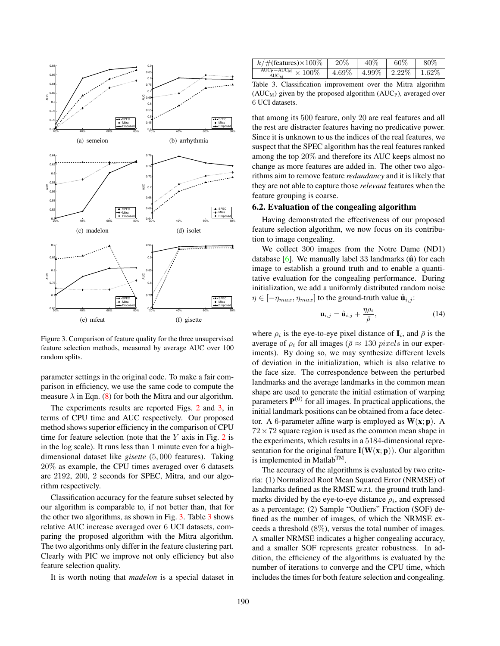<span id="page-5-2"></span>

<span id="page-5-0"></span>Figure 3. Comparison of feature quality for the three unsupervised feature selection methods, measured by average AUC over 100 random splits.

parameter settings in the original code. To make a fair comparison in efficiency, we use the same code to compute the measure  $\lambda$  in Eqn. [\(8\)](#page-2-3) for both the Mitra and our algorithm.

The experiments results are reported Figs. [2](#page-4-5) and [3,](#page-5-0) in terms of CPU time and AUC respectively. Our proposed method shows superior efficiency in the comparison of CPU time for feature selection (note that the  $Y$  axis in Fig. [2](#page-4-5) is in the log scale). It runs less than 1 minute even for a highdimensional dataset like *gisette* (5, 000 features). Taking 20% as example, the CPU times averaged over 6 datasets are 2192, 200, 2 seconds for SPEC, Mitra, and our algorithm respectively.

Classification accuracy for the feature subset selected by our algorithm is comparable to, if not better than, that for the other two algorithms, as shown in Fig. [3.](#page-5-0) Table [3](#page-5-1) shows relative AUC increase averaged over 6 UCI datasets, comparing the proposed algorithm with the Mitra algorithm. The two algorithms only differ in the feature clustering part. Clearly with PIC we improve not only efficiency but also feature selection quality.

It is worth noting that *madelon* is a special dataset in

| $k/\text{\#}$ (features) $\times 100\%$                                       | $20\%$ | 40%                                       | 60% | 80% |
|-------------------------------------------------------------------------------|--------|-------------------------------------------|-----|-----|
| $\frac{\text{AUC}_{\text{P}}-\text{AUC}_{\text{M}}}{\text{AUC}} \times 100\%$ |        | $4.69\%$   $4.99\%$   $2.22\%$   $1.62\%$ |     |     |

<span id="page-5-1"></span>Table 3. Classification improvement over the Mitra algorithm  $(AUC_M)$  given by the proposed algorithm  $(AUC_P)$ , averaged over 6 UCI datasets.

that among its 500 feature, only 20 are real features and all the rest are distracter features having no predicative power. Since it is unknown to us the indices of the real features, we suspect that the SPEC algorithm has the real features ranked among the top 20% and therefore its AUC keeps almost no change as more features are added in. The other two algorithms aim to remove feature *redundancy* and it is likely that they are not able to capture those *relevant* features when the feature grouping is coarse.

### 6.2. Evaluation of the congealing algorithm

Having demonstrated the effectiveness of our proposed feature selection algorithm, we now focus on its contribution to image congealing.

We collect 300 images from the Notre Dame (ND1) database  $[6]$ . We manually label 33 landmarks  $(\hat{\mathbf{u}})$  for each image to establish a ground truth and to enable a quantitative evaluation for the congealing performance. During initialization, we add a uniformly distributed random noise  $\eta \in [-\eta_{max}, \eta_{max}]$  to the ground-truth value  $\hat{\mathbf{u}}_{i,j}$ :

$$
\mathbf{u}_{i,j} = \hat{\mathbf{u}}_{i,j} + \frac{\eta \rho_i}{\bar{\rho}}, \tag{14}
$$

where  $\rho_i$  is the eye-to-eye pixel distance of  $\mathbf{I}_i$ , and  $\bar{\rho}$  is the average of  $\rho_i$  for all images ( $\bar{\rho} \approx 130$  pixels in our experiments). By doing so, we may synthesize different levels of deviation in the initialization, which is also relative to the face size. The correspondence between the perturbed landmarks and the average landmarks in the common mean shape are used to generate the initial estimation of warping parameters  $P^{(0)}$  for all images. In practical applications, the initial landmark positions can be obtained from a face detector. A 6-parameter affine warp is employed as  $W(x; p)$ . A  $72 \times 72$  square region is used as the common mean shape in the experiments, which results in a 5184-dimensional representation for the original feature  $I(W(x; p))$ . Our algorithm is implemented in MatlabTM.

The accuracy of the algorithms is evaluated by two criteria: (1) Normalized Root Mean Squared Error (NRMSE) of landmarks defined as the RMSE w.r.t. the ground truth landmarks divided by the eye-to-eye distance  $\rho_i$ , and expressed as a percentage; (2) Sample "Outliers" Fraction (SOF) defined as the number of images, of which the NRMSE exceeds a threshold (8%), versus the total number of images. A smaller NRMSE indicates a higher congealing accuracy, and a smaller SOF represents greater robustness. In addition, the efficiency of the algorithms is evaluated by the number of iterations to converge and the CPU time, which includes the times for both feature selection and congealing.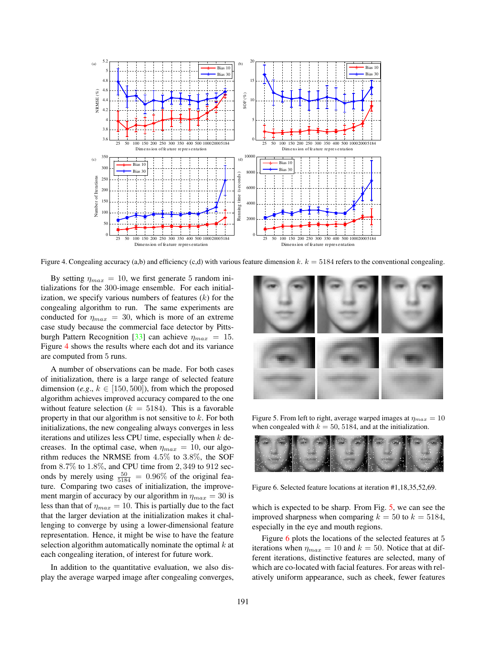<span id="page-6-3"></span>

<span id="page-6-0"></span>Figure 4. Congealing accuracy (a,b) and efficiency (c,d) with various feature dimension k.  $k = 5184$  refers to the conventional congealing.

By setting  $\eta_{max} = 10$ , we first generate 5 random initializations for the 300-image ensemble. For each initialization, we specify various numbers of features  $(k)$  for the congealing algorithm to run. The same experiments are conducted for  $\eta_{max} = 30$ , which is more of an extreme case study because the commercial face detector by Pitts-burgh Pattern Recognition [\[33\]](#page-7-41) can achieve  $\eta_{max} = 15$ . Figure [4](#page-6-0) shows the results where each dot and its variance are computed from 5 runs.

A number of observations can be made. For both cases of initialization, there is a large range of selected feature dimension (*e.g.*,  $k \in [150, 500]$ ), from which the proposed algorithm achieves improved accuracy compared to the one without feature selection ( $k = 5184$ ). This is a favorable property in that our algorithm is not sensitive to  $k$ . For both initializations, the new congealing always converges in less iterations and utilizes less CPU time, especially when  $k$  decreases. In the optimal case, when  $\eta_{max} = 10$ , our algorithm reduces the NRMSE from 4.5% to 3.8%, the SOF from 8.7% to 1.8%, and CPU time from 2, 349 to 912 seconds by merely using  $\frac{50}{5184} = 0.96\%$  of the original feature. Comparing two cases of initialization, the improvement margin of accuracy by our algorithm in  $\eta_{max} = 30$  is less than that of  $\eta_{max} = 10$ . This is partially due to the fact that the larger deviation at the initialization makes it challenging to converge by using a lower-dimensional feature representation. Hence, it might be wise to have the feature selection algorithm automatically nominate the optimal  $k$  at each congealing iteration, of interest for future work.

In addition to the quantitative evaluation, we also display the average warped image after congealing converges,



<span id="page-6-1"></span>Figure 5. From left to right, average warped images at  $\eta_{max} = 10$ when congealed with  $k = 50, 5184$ , and at the initialization.



Figure 6. Selected feature locations at iteration #1,18,35,52,69.

<span id="page-6-2"></span>which is expected to be sharp. From Fig. [5,](#page-6-1) we can see the improved sharpness when comparing  $k = 50$  to  $k = 5184$ , especially in the eye and mouth regions.

Figure [6](#page-6-2) plots the locations of the selected features at 5 iterations when  $\eta_{max} = 10$  and  $k = 50$ . Notice that at different iterations, distinctive features are selected, many of which are co-located with facial features. For areas with relatively uniform appearance, such as cheek, fewer features